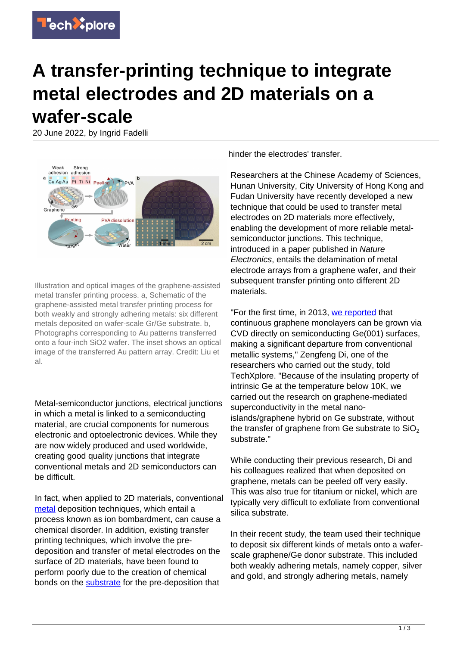## **A transfer-printing technique to integrate metal electrodes and 2D materials on a wafer-scale**

20 June 2022, by Ingrid Fadelli



Illustration and optical images of the graphene-assisted metal transfer printing process. a, Schematic of the graphene-assisted metal transfer printing process for both weakly and strongly adhering metals: six different metals deposited on wafer-scale Gr/Ge substrate. b, Photographs corresponding to Au patterns transferred onto a four-inch SiO2 wafer. The inset shows an optical image of the transferred Au pattern array. Credit: Liu et al.

Metal-semiconductor junctions, electrical junctions in which a metal is linked to a semiconducting material, are crucial components for numerous electronic and optoelectronic devices. While they are now widely produced and used worldwide, creating good quality junctions that integrate conventional metals and 2D semiconductors can be difficult.

In fact, when applied to 2D materials, conventional [metal](https://techxplore.com/tags/metal/) deposition techniques, which entail a process known as ion bombardment, can cause a chemical disorder. In addition, existing transfer printing techniques, which involve the predeposition and transfer of metal electrodes on the surface of 2D materials, have been found to perform poorly due to the creation of chemical bonds on the [substrate](https://techxplore.com/tags/substrate/) for the pre-deposition that

hinder the electrodes' transfer.

Researchers at the Chinese Academy of Sciences, Hunan University, City University of Hong Kong and Fudan University have recently developed a new technique that could be used to transfer metal electrodes on 2D materials more effectively, enabling the development of more reliable metalsemiconductor junctions. This technique, introduced in a paper published in Nature Electronics, entails the delamination of metal electrode arrays from a graphene wafer, and their subsequent transfer printing onto different 2D materials.

"For the first time, in 2013, [we reported](https://www.nature.com/articles/srep02465) that continuous graphene monolayers can be grown via CVD directly on semiconducting Ge(001) surfaces, making a significant departure from conventional metallic systems," Zengfeng Di, one of the researchers who carried out the study, told TechXplore. "Because of the insulating property of intrinsic Ge at the temperature below 10K, we carried out the research on graphene-mediated superconductivity in the metal nanoislands/graphene hybrid on Ge substrate, without the transfer of graphene from Ge substrate to  $SiO<sub>2</sub>$ substrate."

While conducting their previous research, Di and his colleagues realized that when deposited on graphene, metals can be peeled off very easily. This was also true for titanium or nickel, which are typically very difficult to exfoliate from conventional silica substrate.

In their recent study, the team used their technique to deposit six different kinds of metals onto a waferscale graphene/Ge donor substrate. This included both weakly adhering metals, namely copper, silver and gold, and strongly adhering metals, namely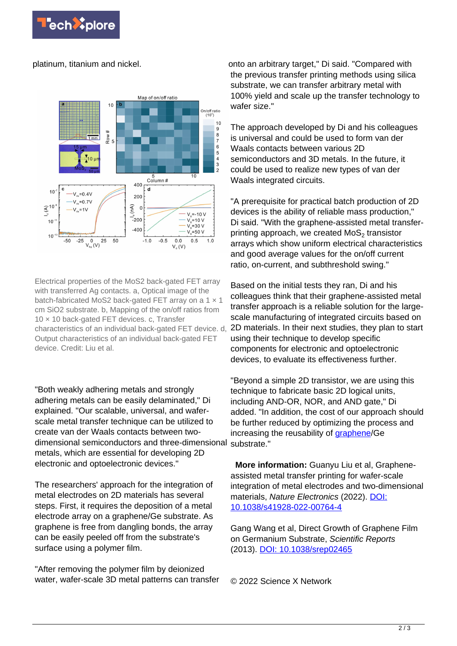

platinum, titanium and nickel.



Electrical properties of the MoS2 back-gated FET array with transferred Ag contacts. a, Optical image of the batch-fabricated MoS2 back-gated FET array on a 1 x 1 cm SiO2 substrate. b, Mapping of the on/off ratios from 10 × 10 back-gated FET devices. c, Transfer characteristics of an individual back-gated FET device. d, Output characteristics of an individual back-gated FET device. Credit: Liu et al.

"Both weakly adhering metals and strongly adhering metals can be easily delaminated," Di explained. "Our scalable, universal, and waferscale metal transfer technique can be utilized to create van der Waals contacts between twodimensional semiconductors and three-dimensional substrate." metals, which are essential for developing 2D electronic and optoelectronic devices."

The researchers' approach for the integration of metal electrodes on 2D materials has several steps. First, it requires the deposition of a metal electrode array on a graphene/Ge substrate. As graphene is free from dangling bonds, the array can be easily peeled off from the substrate's surface using a polymer film.

"After removing the polymer film by deionized water, wafer-scale 3D metal patterns can transfer onto an arbitrary target," Di said. "Compared with the previous transfer printing methods using silica substrate, we can transfer arbitrary metal with 100% yield and scale up the transfer technology to wafer size."

The approach developed by Di and his colleagues is universal and could be used to form van der Waals contacts between various 2D semiconductors and 3D metals. In the future, it could be used to realize new types of van der Waals integrated circuits.

"A prerequisite for practical batch production of 2D devices is the ability of reliable mass production," Di said. "With the graphene-assisted metal transferprinting approach, we created  $\textsf{MoS}_{2}$  transistor arrays which show uniform electrical characteristics and good average values for the on/off current ratio, on-current, and subthreshold swing."

Based on the initial tests they ran, Di and his colleagues think that their graphene-assisted metal transfer approach is a reliable solution for the largescale manufacturing of integrated circuits based on 2D materials. In their next studies, they plan to start using their technique to develop specific components for electronic and optoelectronic devices, to evaluate its effectiveness further.

"Beyond a simple 2D transistor, we are using this technique to fabricate basic 2D logical units, including AND-OR, NOR, and AND gate," Di added. "In addition, the cost of our approach should be further reduced by optimizing the process and increasing the reusability of [graphene](https://techxplore.com/tags/graphene/)/Ge

 **More information:** Guanyu Liu et al, Grapheneassisted metal transfer printing for wafer-scale integration of metal electrodes and two-dimensional materials, Nature Electronics (2022). [DOI:](https://dx.doi.org/10.1038/s41928-022-00764-4) [10.1038/s41928-022-00764-4](https://dx.doi.org/10.1038/s41928-022-00764-4)

Gang Wang et al, Direct Growth of Graphene Film on Germanium Substrate, Scientific Reports (2013). [DOI: 10.1038/srep02465](https://dx.doi.org/10.1038/srep02465)

© 2022 Science X Network